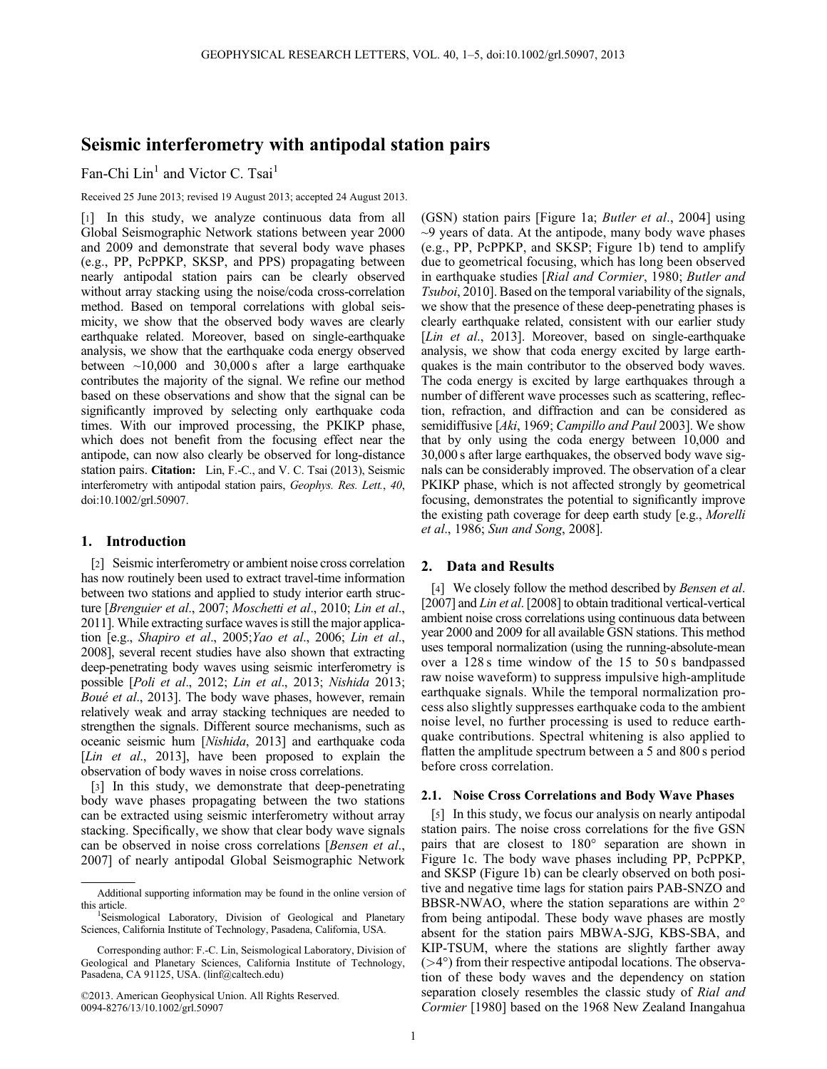# Seismic interferometry with antipodal station pairs

Fan-Chi Lin<sup>1</sup> and Victor C. Tsai<sup>1</sup>

Received 25 June 2013; revised 19 August 2013; accepted 24 August 2013.

[1] In this study, we analyze continuous data from all Global Seismographic Network stations between year 2000 and 2009 and demonstrate that several body wave phases (e.g., PP, PcPPKP, SKSP, and PPS) propagating between nearly antipodal station pairs can be clearly observed without array stacking using the noise/coda cross-correlation method. Based on temporal correlations with global seismicity, we show that the observed body waves are clearly earthquake related. Moreover, based on single-earthquake analysis, we show that the earthquake coda energy observed between  $\sim$ 10,000 and 30,000 s after a large earthquake contributes the majority of the signal. We refine our method based on these observations and show that the signal can be significantly improved by selecting only earthquake coda times. With our improved processing, the PKIKP phase, which does not benefit from the focusing effect near the antipode, can now also clearly be observed for long-distance station pairs. Citation: Lin, F.-C., and V. C. Tsai (2013), Seismic interferometry with antipodal station pairs, Geophys. Res. Lett., 40, doi:10.1002/grl.50907.

#### 1. Introduction

[2] Seismic interferometry or ambient noise cross correlation has now routinely been used to extract travel-time information between two stations and applied to study interior earth structure [Brenguier et al., 2007; Moschetti et al., 2010; Lin et al., 2011]. While extracting surface waves is still the major application [e.g., Shapiro et al., 2005;Yao et al., 2006; Lin et al., 2008], several recent studies have also shown that extracting deep-penetrating body waves using seismic interferometry is possible [Poli et al., 2012; Lin et al., 2013; Nishida 2013; Boué et al., 2013]. The body wave phases, however, remain relatively weak and array stacking techniques are needed to strengthen the signals. Different source mechanisms, such as oceanic seismic hum [Nishida, 2013] and earthquake coda [Lin et al., 2013], have been proposed to explain the observation of body waves in noise cross correlations.

[3] In this study, we demonstrate that deep-penetrating body wave phases propagating between the two stations can be extracted using seismic interferometry without array stacking. Specifically, we show that clear body wave signals can be observed in noise cross correlations [Bensen et al., 2007] of nearly antipodal Global Seismographic Network

©2013. American Geophysical Union. All Rights Reserved. 0094-8276/13/10.1002/grl.50907

(GSN) station pairs [Figure 1a; Butler et al., 2004] using  $\sim$ 9 years of data. At the antipode, many body wave phases (e.g., PP, PcPPKP, and SKSP; Figure 1b) tend to amplify due to geometrical focusing, which has long been observed in earthquake studies [Rial and Cormier, 1980; Butler and Tsuboi, 2010]. Based on the temporal variability of the signals, we show that the presence of these deep-penetrating phases is clearly earthquake related, consistent with our earlier study [*Lin et al.*, 2013]. Moreover, based on single-earthquake analysis, we show that coda energy excited by large earthquakes is the main contributor to the observed body waves. The coda energy is excited by large earthquakes through a number of different wave processes such as scattering, reflection, refraction, and diffraction and can be considered as semidiffusive [Aki, 1969; Campillo and Paul 2003]. We show that by only using the coda energy between 10,000 and 30,000 s after large earthquakes, the observed body wave signals can be considerably improved. The observation of a clear PKIKP phase, which is not affected strongly by geometrical focusing, demonstrates the potential to significantly improve the existing path coverage for deep earth study [e.g., Morelli et al., 1986; Sun and Song, 2008].

## 2. Data and Results

[4] We closely follow the method described by Bensen et al. [2007] and *Lin et al.* [2008] to obtain traditional vertical-vertical ambient noise cross correlations using continuous data between year 2000 and 2009 for all available GSN stations. This method uses temporal normalization (using the running-absolute-mean over a 128 s time window of the 15 to 50 s bandpassed raw noise waveform) to suppress impulsive high-amplitude earthquake signals. While the temporal normalization process also slightly suppresses earthquake coda to the ambient noise level, no further processing is used to reduce earthquake contributions. Spectral whitening is also applied to flatten the amplitude spectrum between a 5 and 800 s period before cross correlation.

### 2.1. Noise Cross Correlations and Body Wave Phases

[5] In this study, we focus our analysis on nearly antipodal station pairs. The noise cross correlations for the five GSN pairs that are closest to 180° separation are shown in Figure 1c. The body wave phases including PP, PcPPKP, and SKSP (Figure 1b) can be clearly observed on both positive and negative time lags for station pairs PAB-SNZO and BBSR-NWAO, where the station separations are within 2° from being antipodal. These body wave phases are mostly absent for the station pairs MBWA-SJG, KBS-SBA, and KIP-TSUM, where the stations are slightly farther away  $($ >4 $\degree$ ) from their respective antipodal locations. The observation of these body waves and the dependency on station separation closely resembles the classic study of Rial and Cormier [1980] based on the 1968 New Zealand Inangahua

Additional supporting information may be found in the online version of this article. <sup>1</sup>

<sup>&</sup>lt;sup>1</sup>Seismological Laboratory, Division of Geological and Planetary Sciences, California Institute of Technology, Pasadena, California, USA.

Corresponding author: F.-C. Lin, Seismological Laboratory, Division of Geological and Planetary Sciences, California Institute of Technology, Pasadena, CA 91125, USA. (linf@caltech.edu)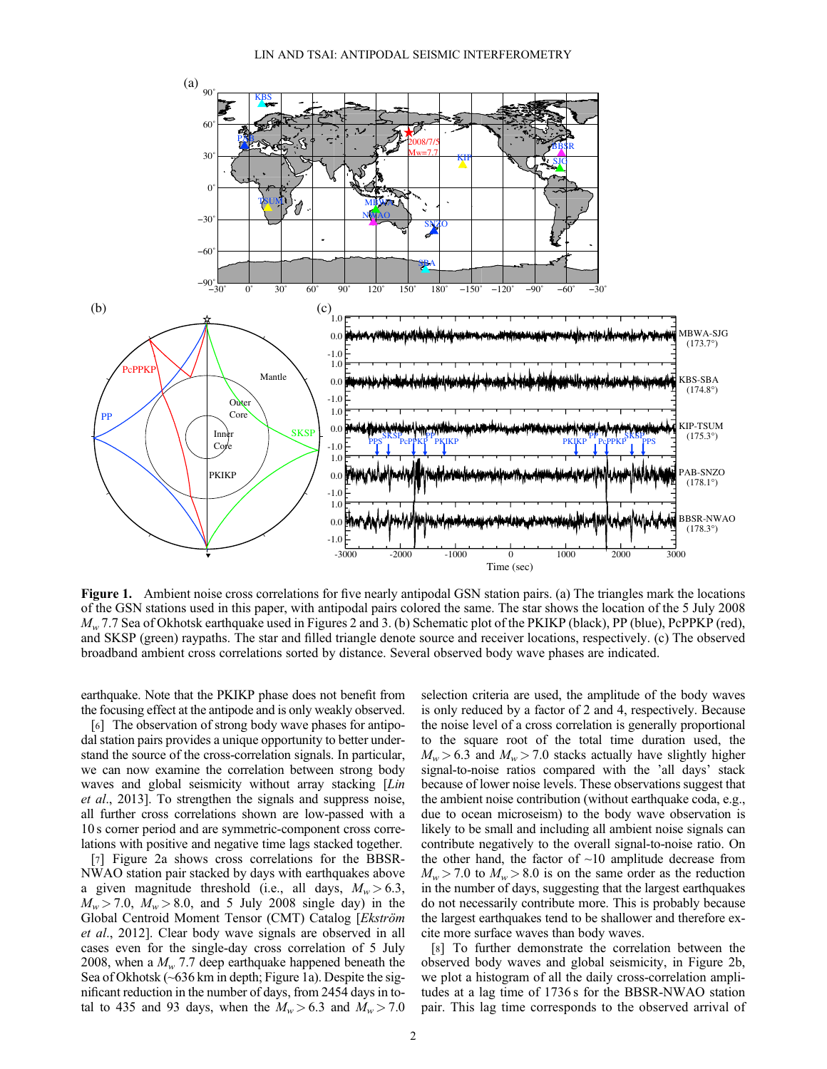

Figure 1. Ambient noise cross correlations for five nearly antipodal GSN station pairs. (a) The triangles mark the locations of the GSN stations used in this paper, with antipodal pairs colored the same. The star shows the location of the 5 July 2008  $M_w$  7.7 Sea of Okhotsk earthquake used in Figures 2 and 3. (b) Schematic plot of the PKIKP (black), PP (blue), PcPPKP (red), and SKSP (green) raypaths. The star and filled triangle denote source and receiver locations, respectively. (c) The observed broadband ambient cross correlations sorted by distance. Several observed body wave phases are indicated.

earthquake. Note that the PKIKP phase does not benefit from the focusing effect at the antipode and is only weakly observed.

[6] The observation of strong body wave phases for antipodal station pairs provides a unique opportunity to better understand the source of the cross-correlation signals. In particular, we can now examine the correlation between strong body waves and global seismicity without array stacking [Lin et al., 2013]. To strengthen the signals and suppress noise, all further cross correlations shown are low-passed with a 10 s corner period and are symmetric-component cross correlations with positive and negative time lags stacked together.

[7] Figure 2a shows cross correlations for the BBSR-NWAO station pair stacked by days with earthquakes above a given magnitude threshold (i.e., all days,  $M_w > 6.3$ ,  $M_w > 7.0$ ,  $M_w > 8.0$ , and 5 July 2008 single day) in the Global Centroid Moment Tensor (CMT) Catalog [Ekström et al., 2012]. Clear body wave signals are observed in all cases even for the single-day cross correlation of 5 July 2008, when a  $M_w$  7.7 deep earthquake happened beneath the Sea of Okhotsk (~636 km in depth; Figure 1a). Despite the significant reduction in the number of days, from 2454 days in total to 435 and 93 days, when the  $M_w > 6.3$  and  $M_w > 7.0$ 

selection criteria are used, the amplitude of the body waves is only reduced by a factor of 2 and 4, respectively. Because the noise level of a cross correlation is generally proportional to the square root of the total time duration used, the  $M_w > 6.3$  and  $M_w > 7.0$  stacks actually have slightly higher signal-to-noise ratios compared with the 'all days' stack because of lower noise levels. These observations suggest that the ambient noise contribution (without earthquake coda, e.g., due to ocean microseism) to the body wave observation is likely to be small and including all ambient noise signals can contribute negatively to the overall signal-to-noise ratio. On the other hand, the factor of  $\sim$ 10 amplitude decrease from  $M_w > 7.0$  to  $M_w > 8.0$  is on the same order as the reduction in the number of days, suggesting that the largest earthquakes do not necessarily contribute more. This is probably because the largest earthquakes tend to be shallower and therefore excite more surface waves than body waves.

[8] To further demonstrate the correlation between the observed body waves and global seismicity, in Figure 2b, we plot a histogram of all the daily cross-correlation amplitudes at a lag time of 1736 s for the BBSR-NWAO station pair. This lag time corresponds to the observed arrival of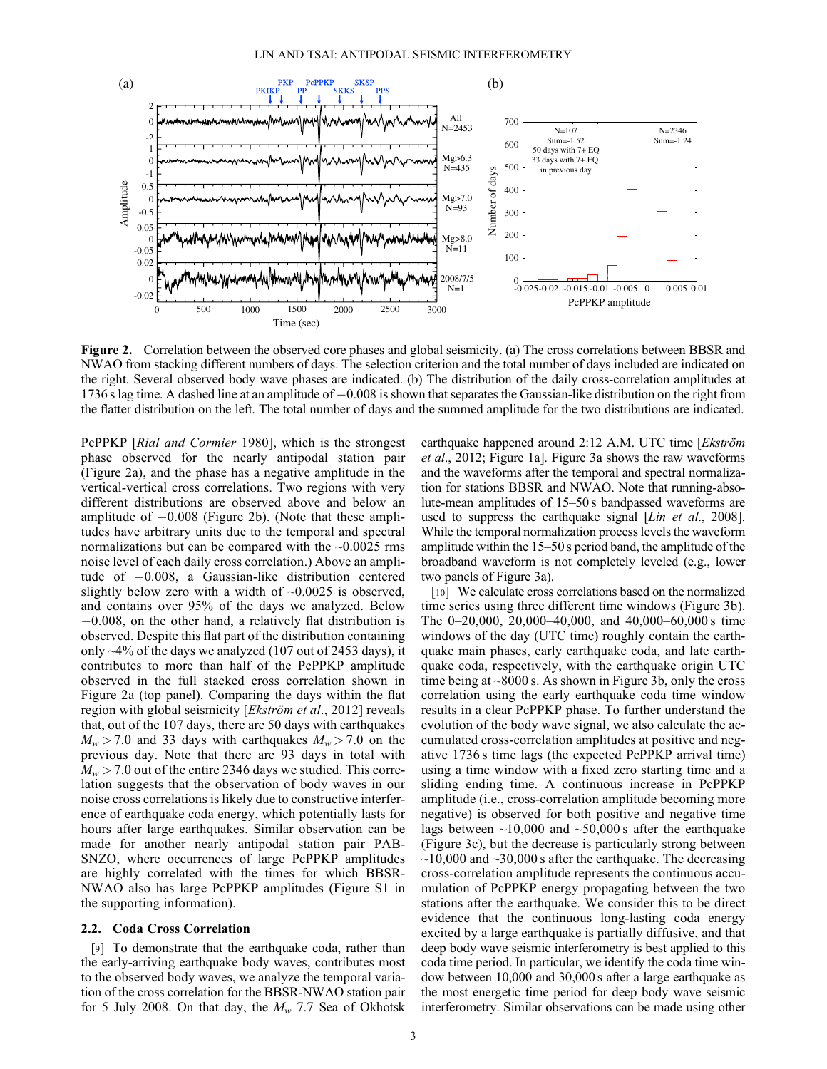

Figure 2. Correlation between the observed core phases and global seismicity. (a) The cross correlations between BBSR and NWAO from stacking different numbers of days. The selection criterion and the total number of days included are indicated on the right. Several observed body wave phases are indicated. (b) The distribution of the daily cross-correlation amplitudes at 1736 s lag time. A dashed line at an amplitude of 0.008 is shown that separates the Gaussian-like distribution on the right from the flatter distribution on the left. The total number of days and the summed amplitude for the two distributions are indicated.

PcPPKP [Rial and Cormier 1980], which is the strongest phase observed for the nearly antipodal station pair (Figure 2a), and the phase has a negative amplitude in the vertical-vertical cross correlations. Two regions with very different distributions are observed above and below an amplitude of  $-0.008$  (Figure 2b). (Note that these amplitudes have arbitrary units due to the temporal and spectral normalizations but can be compared with the  $\sim 0.0025$  rms noise level of each daily cross correlation.) Above an amplitude of  $-0.008$ , a Gaussian-like distribution centered slightly below zero with a width of  $\sim 0.0025$  is observed, and contains over 95% of the days we analyzed. Below  $-0.008$ , on the other hand, a relatively flat distribution is observed. Despite this flat part of the distribution containing only  $\sim$ 4% of the days we analyzed (107 out of 2453 days), it contributes to more than half of the PcPPKP amplitude observed in the full stacked cross correlation shown in Figure 2a (top panel). Comparing the days within the flat region with global seismicity [Ekström et al., 2012] reveals that, out of the 107 days, there are 50 days with earthquakes  $M_w > 7.0$  and 33 days with earthquakes  $M_w > 7.0$  on the previous day. Note that there are 93 days in total with  $M_w > 7.0$  out of the entire 2346 days we studied. This correlation suggests that the observation of body waves in our noise cross correlations is likely due to constructive interference of earthquake coda energy, which potentially lasts for hours after large earthquakes. Similar observation can be made for another nearly antipodal station pair PAB-SNZO, where occurrences of large PcPPKP amplitudes are highly correlated with the times for which BBSR-NWAO also has large PcPPKP amplitudes (Figure S1 in the supporting information).

#### 2.2. Coda Cross Correlation

[9] To demonstrate that the earthquake coda, rather than the early-arriving earthquake body waves, contributes most to the observed body waves, we analyze the temporal variation of the cross correlation for the BBSR-NWAO station pair for 5 July 2008. On that day, the  $M_w$  7.7 Sea of Okhotsk earthquake happened around 2:12 A.M. UTC time [Ekström et al., 2012; Figure 1a]. Figure 3a shows the raw waveforms and the waveforms after the temporal and spectral normalization for stations BBSR and NWAO. Note that running-absolute-mean amplitudes of 15–50 s bandpassed waveforms are used to suppress the earthquake signal [Lin et al., 2008]. While the temporal normalization process levels the waveform amplitude within the 15–50 s period band, the amplitude of the broadband waveform is not completely leveled (e.g., lower two panels of Figure 3a).

[10] We calculate cross correlations based on the normalized time series using three different time windows (Figure 3b). The 0–20,000, 20,000–40,000, and 40,000–60,000 s time windows of the day (UTC time) roughly contain the earthquake main phases, early earthquake coda, and late earthquake coda, respectively, with the earthquake origin UTC time being at  $\sim 8000$  s. As shown in Figure 3b, only the cross correlation using the early earthquake coda time window results in a clear PcPPKP phase. To further understand the evolution of the body wave signal, we also calculate the accumulated cross-correlation amplitudes at positive and negative 1736 s time lags (the expected PcPPKP arrival time) using a time window with a fixed zero starting time and a sliding ending time. A continuous increase in PcPPKP amplitude (i.e., cross-correlation amplitude becoming more negative) is observed for both positive and negative time lags between  $\sim$ 10,000 and  $\sim$ 50,000 s after the earthquake (Figure 3c), but the decrease is particularly strong between  $\sim$ 10,000 and  $\sim$ 30,000 s after the earthquake. The decreasing cross-correlation amplitude represents the continuous accumulation of PcPPKP energy propagating between the two stations after the earthquake. We consider this to be direct evidence that the continuous long-lasting coda energy excited by a large earthquake is partially diffusive, and that deep body wave seismic interferometry is best applied to this coda time period. In particular, we identify the coda time window between 10,000 and 30,000 s after a large earthquake as the most energetic time period for deep body wave seismic interferometry. Similar observations can be made using other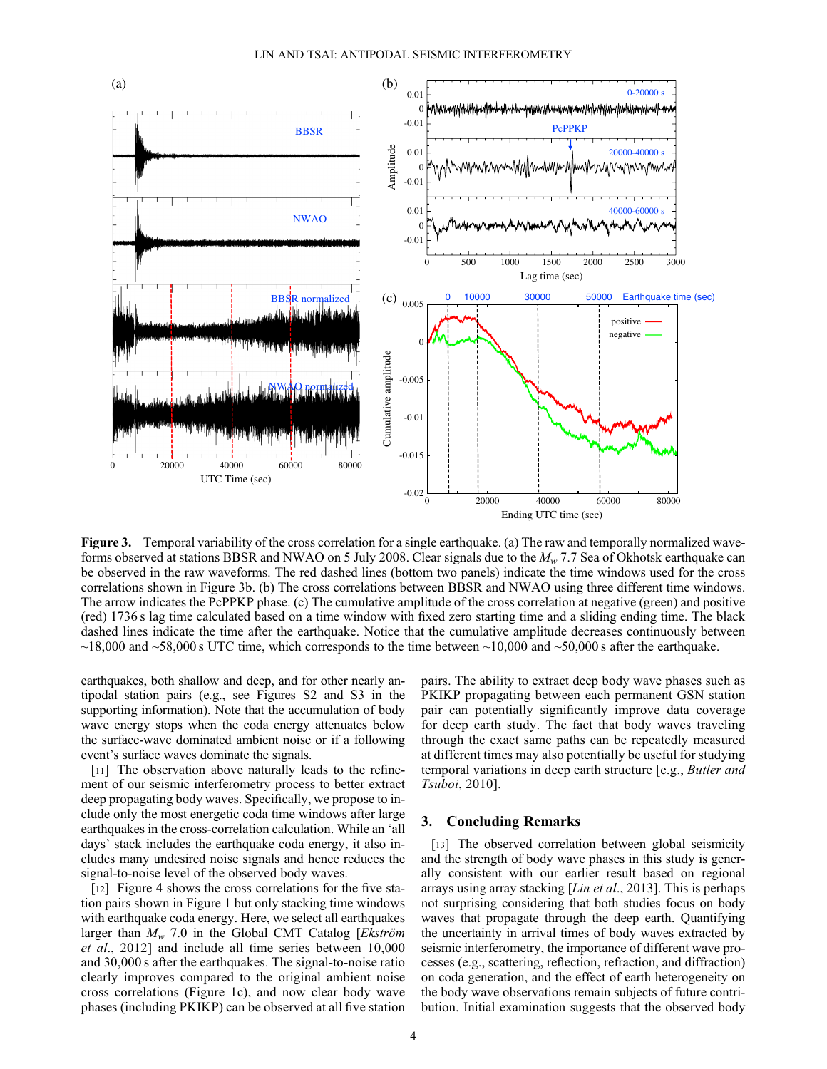

Figure 3. Temporal variability of the cross correlation for a single earthquake. (a) The raw and temporally normalized waveforms observed at stations BBSR and NWAO on 5 July 2008. Clear signals due to the  $M_w$  7.7 Sea of Okhotsk earthquake can be observed in the raw waveforms. The red dashed lines (bottom two panels) indicate the time windows used for the cross correlations shown in Figure 3b. (b) The cross correlations between BBSR and NWAO using three different time windows. The arrow indicates the PcPPKP phase. (c) The cumulative amplitude of the cross correlation at negative (green) and positive (red) 1736 s lag time calculated based on a time window with fixed zero starting time and a sliding ending time. The black dashed lines indicate the time after the earthquake. Notice that the cumulative amplitude decreases continuously between  $\sim$ 18,000 and  $\sim$ 58,000 s UTC time, which corresponds to the time between  $\sim$ 10,000 and  $\sim$ 50,000 s after the earthquake.

earthquakes, both shallow and deep, and for other nearly antipodal station pairs (e.g., see Figures S2 and S3 in the supporting information). Note that the accumulation of body wave energy stops when the coda energy attenuates below the surface-wave dominated ambient noise or if a following event's surface waves dominate the signals.

[11] The observation above naturally leads to the refinement of our seismic interferometry process to better extract deep propagating body waves. Specifically, we propose to include only the most energetic coda time windows after large earthquakes in the cross-correlation calculation. While an 'all days' stack includes the earthquake coda energy, it also includes many undesired noise signals and hence reduces the signal-to-noise level of the observed body waves.

[12] Figure 4 shows the cross correlations for the five station pairs shown in Figure 1 but only stacking time windows with earthquake coda energy. Here, we select all earthquakes larger than  $M_w$  7.0 in the Global CMT Catalog [*Ekström* et al., 2012] and include all time series between 10,000 and 30,000 s after the earthquakes. The signal-to-noise ratio clearly improves compared to the original ambient noise cross correlations (Figure 1c), and now clear body wave phases (including PKIKP) can be observed at all five station

pairs. The ability to extract deep body wave phases such as PKIKP propagating between each permanent GSN station pair can potentially significantly improve data coverage for deep earth study. The fact that body waves traveling through the exact same paths can be repeatedly measured at different times may also potentially be useful for studying temporal variations in deep earth structure [e.g., Butler and Tsuboi, 2010].

# 3. Concluding Remarks

[13] The observed correlation between global seismicity and the strength of body wave phases in this study is generally consistent with our earlier result based on regional arrays using array stacking [Lin et al., 2013]. This is perhaps not surprising considering that both studies focus on body waves that propagate through the deep earth. Quantifying the uncertainty in arrival times of body waves extracted by seismic interferometry, the importance of different wave processes (e.g., scattering, reflection, refraction, and diffraction) on coda generation, and the effect of earth heterogeneity on the body wave observations remain subjects of future contribution. Initial examination suggests that the observed body